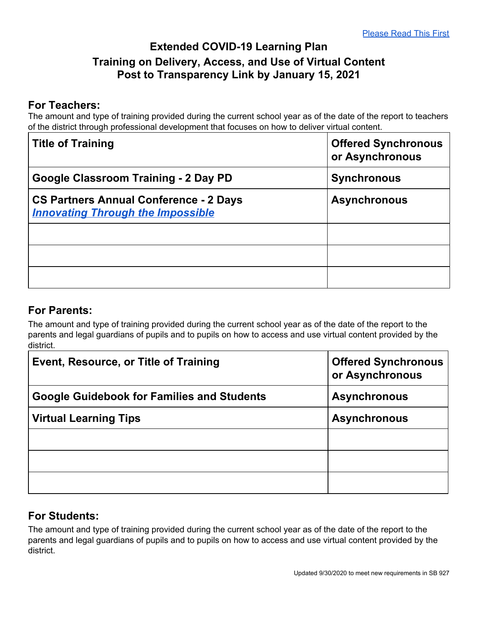## **Extended COVID-19 Learning Plan Training on Delivery, Access, and Use of Virtual Content Post to Transparency Link by January 15, 2021**

## **For Teachers:**

The amount and type of training provided during the current school year as of the date of the report to teachers of the district through professional development that focuses on how to deliver virtual content.

| <b>Title of Training</b>                                                                  | <b>Offered Synchronous</b><br>or Asynchronous |
|-------------------------------------------------------------------------------------------|-----------------------------------------------|
| Google Classroom Training - 2 Day PD                                                      | <b>Synchronous</b>                            |
| <b>CS Partners Annual Conference - 2 Days</b><br><b>Innovating Through the Impossible</b> | <b>Asynchronous</b>                           |
|                                                                                           |                                               |
|                                                                                           |                                               |
|                                                                                           |                                               |

## **For Parents:**

The amount and type of training provided during the current school year as of the date of the report to the parents and legal guardians of pupils and to pupils on how to access and use virtual content provided by the district.

| Event, Resource, or Title of Training             | <b>Offered Synchronous</b><br>or Asynchronous |
|---------------------------------------------------|-----------------------------------------------|
| <b>Google Guidebook for Families and Students</b> | <b>Asynchronous</b>                           |
| <b>Virtual Learning Tips</b>                      | <b>Asynchronous</b>                           |
|                                                   |                                               |
|                                                   |                                               |
|                                                   |                                               |

## **For Students:**

The amount and type of training provided during the current school year as of the date of the report to the parents and legal guardians of pupils and to pupils on how to access and use virtual content provided by the district.